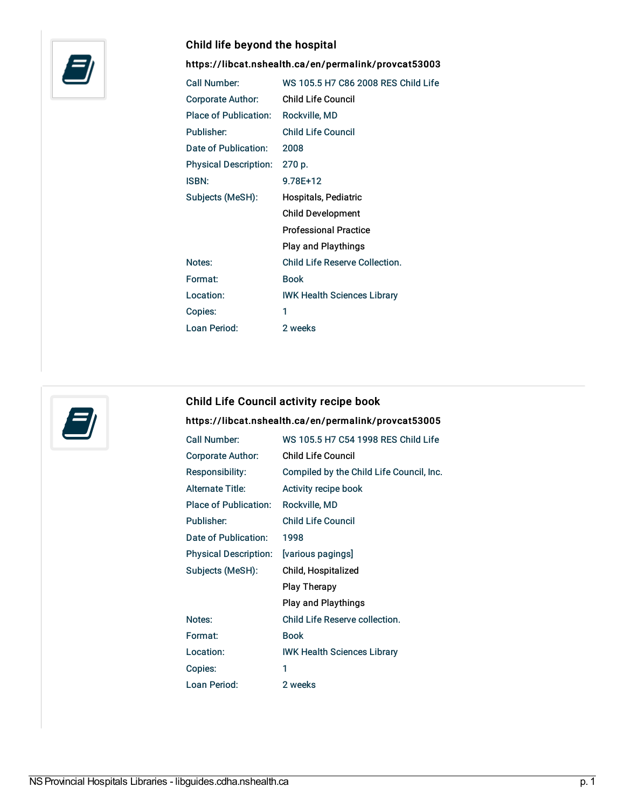

### Child life beyond the hospital

<https://libcat.nshealth.ca/en/permalink/provcat53003>

| Call Number:                 | WS 105.5 H7 C86 2008 RES Child Life |
|------------------------------|-------------------------------------|
| Corporate Author:            | <b>Child Life Council</b>           |
| <b>Place of Publication:</b> | Rockville, MD                       |
| Publisher:                   | <b>Child Life Council</b>           |
| Date of Publication:         | 2008                                |
| <b>Physical Description:</b> | 270 p.                              |
| <b>ISBN:</b>                 | 9.78E+12                            |
| Subjects (MeSH):             | Hospitals, Pediatric                |
|                              | <b>Child Development</b>            |
|                              | <b>Professional Practice</b>        |
|                              | <b>Play and Playthings</b>          |
| Notes:                       | Child Life Reserve Collection.      |
| Format:                      | <b>Book</b>                         |
| Location:                    | <b>IWK Health Sciences Library</b>  |
| Copies:                      | 1                                   |
| Loan Period:                 | 2 weeks                             |



## Child Life Council activity recipe book

#### <https://libcat.nshealth.ca/en/permalink/provcat53005>

| Call Number:                 | WS 105.5 H7 C54 1998 RES Child Life      |
|------------------------------|------------------------------------------|
| <b>Corporate Author:</b>     | <b>Child Life Council</b>                |
| Responsibility:              | Compiled by the Child Life Council, Inc. |
| <b>Alternate Title:</b>      | Activity recipe book                     |
| <b>Place of Publication:</b> | Rockville, MD                            |
| Publisher:                   | <b>Child Life Council</b>                |
| Date of Publication:         | 1998                                     |
| <b>Physical Description:</b> | [various pagings]                        |
| Subjects (MeSH):             | Child, Hospitalized                      |
|                              | <b>Play Therapy</b>                      |
|                              | <b>Play and Playthings</b>               |
| Notes:                       | Child Life Reserve collection.           |
| Format:                      | <b>Book</b>                              |
| Location:                    | <b>IWK Health Sciences Library</b>       |
| Copies:                      | 1                                        |
| Loan Period:                 | 2 weeks                                  |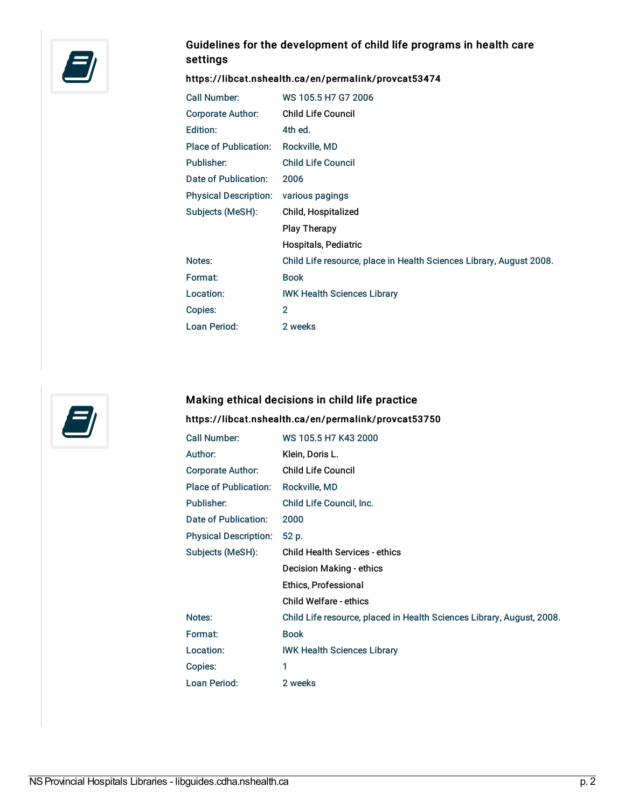

# Guidelines for the development of child life programs in health care settings

# <https://libcat.nshealth.ca/en/permalink/provcat53474>

| Call Number:                 | WS 105.5 H7 G7 2006                                                 |  |
|------------------------------|---------------------------------------------------------------------|--|
| Corporate Author:            | <b>Child Life Council</b>                                           |  |
| Edition:                     | 4th ed.                                                             |  |
| <b>Place of Publication:</b> | Rockville, MD                                                       |  |
| Publisher:                   | <b>Child Life Council</b>                                           |  |
| Date of Publication:         | 2006                                                                |  |
| <b>Physical Description:</b> | various pagings                                                     |  |
| Subjects (MeSH):             | Child, Hospitalized                                                 |  |
|                              | Play Therapy                                                        |  |
|                              | Hospitals, Pediatric                                                |  |
| Notes:                       | Child Life resource, place in Health Sciences Library, August 2008. |  |
| Format:                      | <b>Book</b>                                                         |  |
| Location:                    | <b>IWK Health Sciences Library</b>                                  |  |
| Copies:                      | $\overline{2}$                                                      |  |
| Loan Period:                 | 2 weeks                                                             |  |



# Making ethical decisions in child life practice

#### <https://libcat.nshealth.ca/en/permalink/provcat53750>

| <b>Call Number:</b>          | WS 105.5 H7 K43 2000                                                  |
|------------------------------|-----------------------------------------------------------------------|
| Author:                      | Klein, Doris L.                                                       |
| Corporate Author:            | <b>Child Life Council</b>                                             |
| Place of Publication:        | Rockville, MD                                                         |
| Publisher:                   | Child Life Council, Inc.                                              |
| Date of Publication:         | 2000                                                                  |
| <b>Physical Description:</b> | 52 p.                                                                 |
| Subjects (MeSH):             | <b>Child Health Services - ethics</b>                                 |
|                              |                                                                       |
|                              | Decision Making - ethics                                              |
|                              | Ethics, Professional                                                  |
|                              | Child Welfare - ethics                                                |
| Notes:                       | Child Life resource, placed in Health Sciences Library, August, 2008. |
| Format:                      | <b>Book</b>                                                           |
| Location:                    | <b>IWK Health Sciences Library</b>                                    |
| Copies:                      | 1                                                                     |